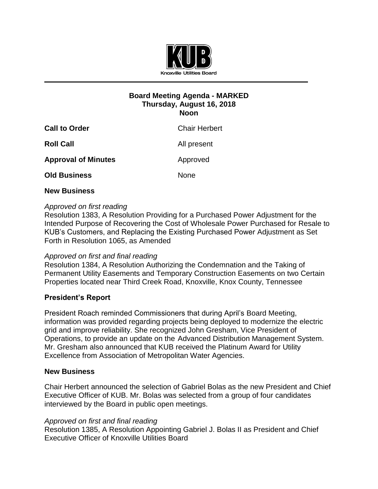

# **Board Meeting Agenda - MARKED Thursday, August 16, 2018 Noon**

| <b>Call to Order</b>       | <b>Chair Herbert</b> |
|----------------------------|----------------------|
| <b>Roll Call</b>           | All present          |
| <b>Approval of Minutes</b> | Approved             |
| <b>Old Business</b>        | <b>None</b>          |
|                            |                      |

## **New Business**

## *Approved on first reading*

Resolution 1383, A Resolution Providing for a Purchased Power Adjustment for the Intended Purpose of Recovering the Cost of Wholesale Power Purchased for Resale to KUB's Customers, and Replacing the Existing Purchased Power Adjustment as Set Forth in Resolution 1065, as Amended

## *Approved on first and final reading*

Resolution 1384, A Resolution Authorizing the Condemnation and the Taking of Permanent Utility Easements and Temporary Construction Easements on two Certain Properties located near Third Creek Road, Knoxville, Knox County, Tennessee

## **President's Report**

President Roach reminded Commissioners that during April's Board Meeting, information was provided regarding projects being deployed to modernize the electric grid and improve reliability. She recognized John Gresham, Vice President of Operations, to provide an update on the Advanced Distribution Management System. Mr. Gresham also announced that KUB received the Platinum Award for Utility Excellence from Association of Metropolitan Water Agencies.

#### **New Business**

Chair Herbert announced the selection of Gabriel Bolas as the new President and Chief Executive Officer of KUB. Mr. Bolas was selected from a group of four candidates interviewed by the Board in public open meetings.

#### *Approved on first and final reading*

Resolution 1385, A Resolution Appointing Gabriel J. Bolas II as President and Chief Executive Officer of Knoxville Utilities Board